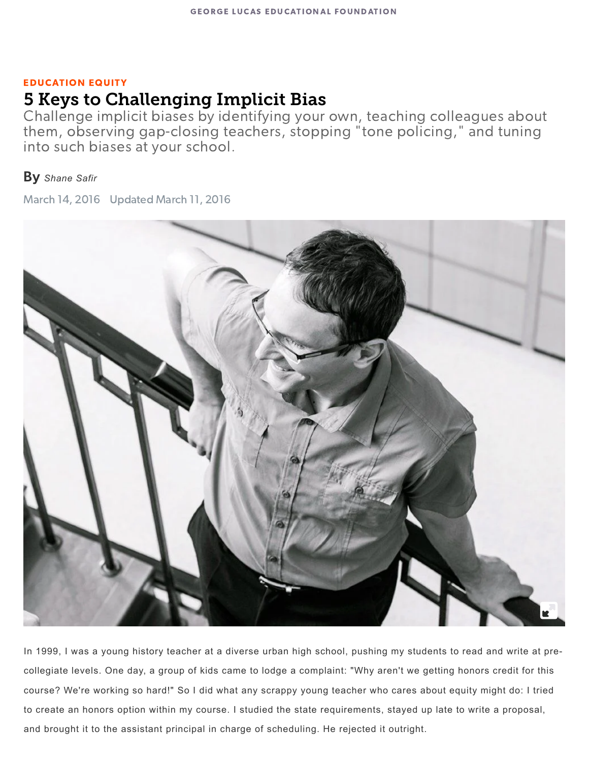#### EDUCATION EQUITY

# 5 Keys to Challenging Implicit Bias

Challenge implicit biases by identifying your own, teaching colleagues about them, observing gap-closing teachers, stopping "tone policing," and tuning into such biases at your school.

#### By *[Shane](https://www.edutopia.org/profile/shane-safir) Safir*

March 14, 2016 Updated March 11, 2016



In 1999, I was a young history teacher at a diverse urban high school, pushing my students to read and write at precollegiate levels. One day, a group of kids came to lodge a complaint: "Why aren't we getting honors credit for this course? We're working so hard!" So I did what any scrappy young teacher who cares about equity might do: I tried to create an honors option within my course. I studied the state requirements, stayed up late to write a proposal, and brought it to the assistant principal in charge of scheduling. He rejected it outright.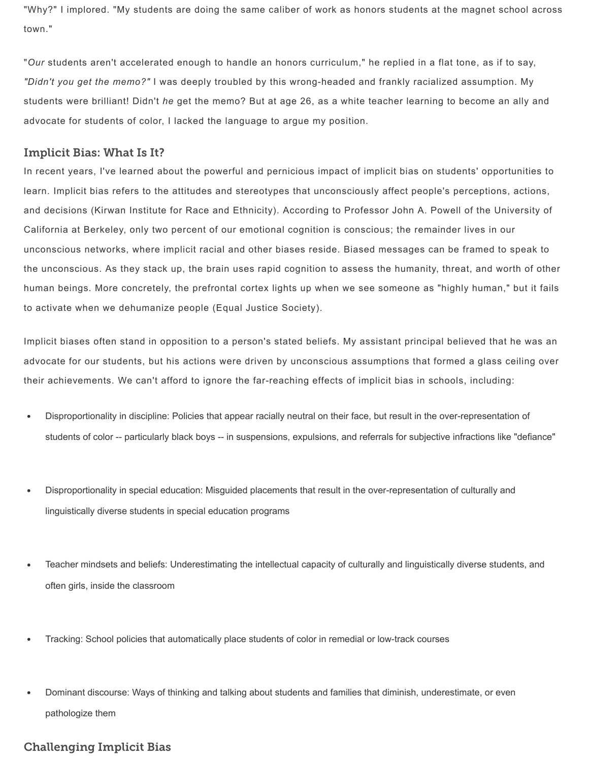"Why?" I implored. "My students are doing the same caliber of work as honors students at the magnet school across town."

"*Our* students aren't accelerated enough to handle an honors curriculum," he replied in a flat tone, as if to say, *"Didn't you get the memo?"* I was deeply troubled by this wrong-headed and frankly racialized assumption. My students were brilliant! Didn't *he* get the memo? But at age 26, as a white teacher learning to become an ally and advocate for students of color, I lacked the language to argue my position.

#### Implicit Bias: What Is It?

In recent years, I've learned about the powerful and pernicious impact of implicit bias on students' opportunities to learn. Implicit bias refers to the attitudes and stereotypes that unconsciously affect people's perceptions, actions, and decisions (Kirwan Institute for Race and Ethnicity). According to Professor John A. Powell of the University of California at Berkeley, only two percent of our emotional cognition is conscious; the remainder lives in our unconscious networks, where implicit racial and other biases reside. Biased messages can be framed to speak to the unconscious. As they stack up, the brain uses rapid cognition to assess the humanity, threat, and worth of other human beings. More concretely, the prefrontal cortex lights up when we see someone as "highly human," but it fails to activate when we dehumanize people (Equal Justice Society).

Implicit biases often stand in opposition to a person's stated beliefs. My assistant principal believed that he was an advocate for our students, but his actions were driven by unconscious assumptions that formed a glass ceiling over their achievements. We can't afford to ignore the far-reaching effects of implicit bias in schools, including:

- Disproportionality in discipline: Policies that appear racially neutral on their face, but result in the over-representation of  $\bullet$ students of color -- particularly black boys -- in suspensions, expulsions, and referrals for subjective infractions like "defiance"
- Disproportionality in special education: Misguided placements that result in the over-representation of culturally and linguistically diverse students in special education programs
- $\bullet$ Teacher mindsets and beliefs: Underestimating the intellectual capacity of culturally and linguistically diverse students, and often girls, inside the classroom
- Tracking: School policies that automatically place students of color in remedial or low-track courses
- Dominant discourse: Ways of thinking and talking about students and families that diminish, underestimate, or even pathologize them

#### Challenging Implicit Bias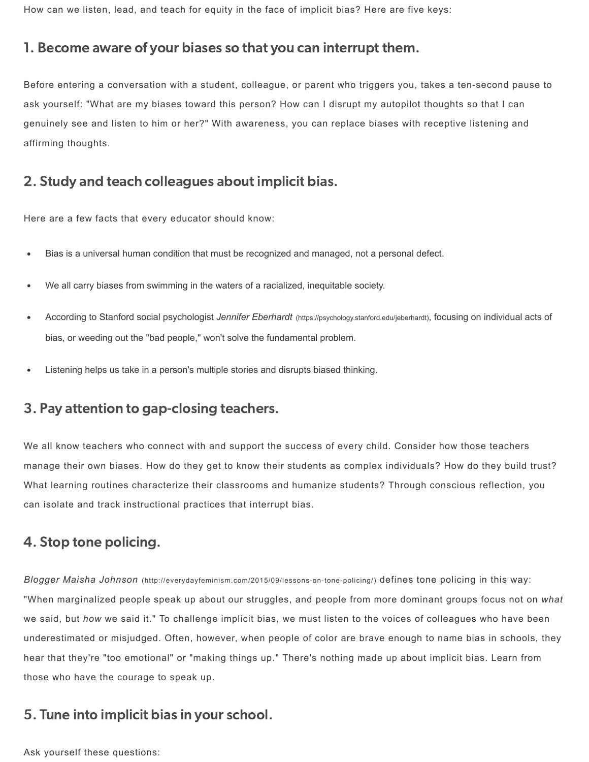How can we listen, lead, and teach for equity in the face of implicit bias? Here are five keys:

#### 1. Become aware of your biases so that you can interrupt them.

Before entering a conversation with a student, colleague, or parent who triggers you, takes a ten-second pause to ask yourself: "What are my biases toward this person? How can I disrupt my autopilot thoughts so that I can genuinely see and listen to him or her?" With awareness, you can replace biases with receptive listening and affirming thoughts.

## 2. Study and teach colleagues about implicit bias.

Here are a few facts that every educator should know:

- Bias is a universal human condition that must be recognized and managed, not a personal defect.
- We all carry biases from swimming in the waters of a racialized, inequitable society.
- According to Stanford social psychologist *Jennifer Eberhardt* [\(https://psychology.stanford.edu/jeberhardt\)](https://psychology.stanford.edu/jeberhardt), focusing on individual acts of bias, or weeding out the "bad people," won't solve the fundamental problem.
- Listening helps us take in a person's multiple stories and disrupts biased thinking.

## 3. Pay attention to gap-closing teachers.

We all know teachers who connect with and support the success of every child. Consider how those teachers manage their own biases. How do they get to know their students as complex individuals? How do they build trust? What learning routines characterize their classrooms and humanize students? Through conscious reflection, you can isolate and track instructional practices that interrupt bias.

## 4. Stop tone policing.

Blogger Maisha Johnson [\(http://everydayfeminism.com/2015/09/lessons-on-tone-policing/\)](http://everydayfeminism.com/2015/09/lessons-on-tone-policing/) defines tone policing in this way: "When marginalized people speak up about our struggles, and people from more dominant groups focus not on *what* we said, but *how* we said it." To challenge implicit bias, we must listen to the voices of colleagues who have been underestimated or misjudged. Often, however, when people of color are brave enough to name bias in schools, they hear that they're "too emotional" or "making things up." There's nothing made up about implicit bias. Learn from those who have the courage to speak up.

## 5. Tune into implicit bias in your school.

Ask yourself these questions: